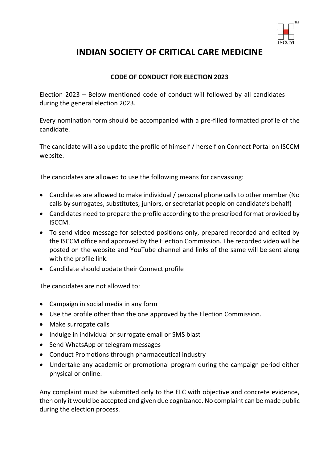

## **INDIAN SOCIETY OF CRITICAL CARE MEDICINE**

## **CODE OF CONDUCT FOR ELECTION 2023**

Election 2023 – Below mentioned code of conduct will followed by all candidates during the general election 2023.

Every nomination form should be accompanied with a pre-filled formatted profile of the candidate.

The candidate will also update the profile of himself / herself on Connect Portal on ISCCM website.

The candidates are allowed to use the following means for canvassing:

- Candidates are allowed to make individual / personal phone calls to other member (No calls by surrogates, substitutes, juniors, or secretariat people on candidate's behalf)
- Candidates need to prepare the profile according to the prescribed format provided by ISCCM.
- To send video message for selected positions only, prepared recorded and edited by the ISCCM office and approved by the Election Commission. The recorded video will be posted on the website and YouTube channel and links of the same will be sent along with the profile link.
- Candidate should update their Connect profile

The candidates are not allowed to:

- Campaign in social media in any form
- Use the profile other than the one approved by the Election Commission.
- Make surrogate calls
- Indulge in individual or surrogate email or SMS blast
- Send WhatsApp or telegram messages
- Conduct Promotions through pharmaceutical industry
- Undertake any academic or promotional program during the campaign period either physical or online.

Any complaint must be submitted only to the ELC with objective and concrete evidence, then only it would be accepted and given due cognizance. No complaint can be made public during the election process.